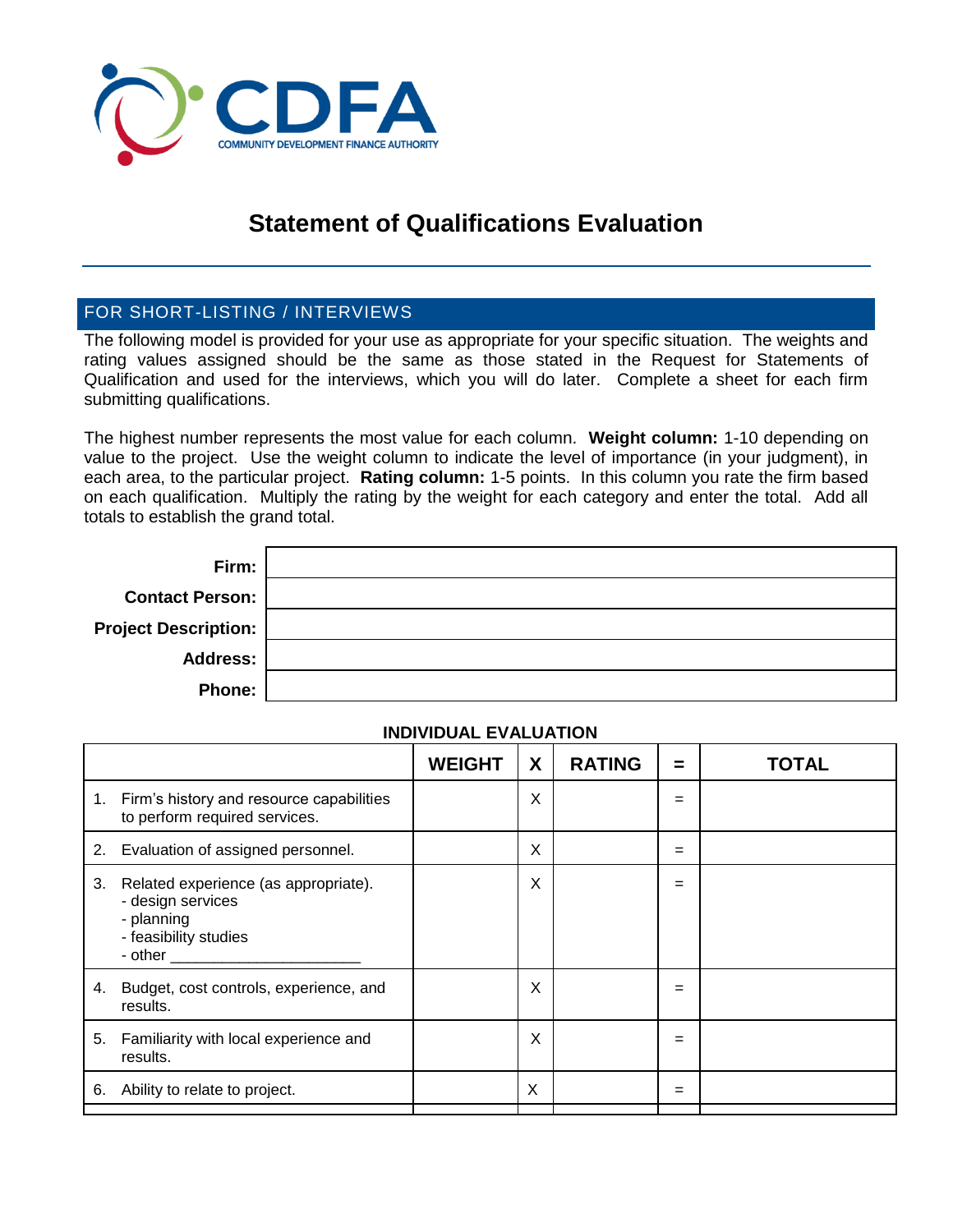

# **Statement of Qualifications Evaluation**

#### FOR SHORT-LISTING / INTERVIEWS

The following model is provided for your use as appropriate for your specific situation. The weights and rating values assigned should be the same as those stated in the Request for Statements of Qualification and used for the interviews, which you will do later. Complete a sheet for each firm submitting qualifications.

The highest number represents the most value for each column. **Weight column:** 1-10 depending on value to the project. Use the weight column to indicate the level of importance (in your judgment), in each area, to the particular project. **Rating column:** 1-5 points. In this column you rate the firm based on each qualification. Multiply the rating by the weight for each category and enter the total. Add all totals to establish the grand total.

| Firm:                       |  |
|-----------------------------|--|
| <b>Contact Person:</b>      |  |
| <b>Project Description:</b> |  |
| <b>Address:</b>             |  |
| <b>Phone:</b>               |  |

#### **INDIVIDUAL EVALUATION**

|    |                                                                                                                                                                                                                                                                                                                                    | <b>WEIGHT</b> | X | <b>RATING</b> | $\equiv$ | TOTAL |
|----|------------------------------------------------------------------------------------------------------------------------------------------------------------------------------------------------------------------------------------------------------------------------------------------------------------------------------------|---------------|---|---------------|----------|-------|
|    | 1. Firm's history and resource capabilities<br>to perform required services.                                                                                                                                                                                                                                                       |               | X |               | $=$      |       |
| 2. | Evaluation of assigned personnel.                                                                                                                                                                                                                                                                                                  |               | X |               | =        |       |
| 3. | Related experience (as appropriate).<br>- design services<br>- planning<br>- feasibility studies<br>- other and the state of the state of the state of the state of the state of the state of the state of the state of the state of the state of the state of the state of the state of the state of the state of the state of th |               | X |               | =        |       |
| 4. | Budget, cost controls, experience, and<br>results.                                                                                                                                                                                                                                                                                 |               | Χ |               | $=$      |       |
| 5. | Familiarity with local experience and<br>results.                                                                                                                                                                                                                                                                                  |               | Χ |               | $=$      |       |
| 6. | Ability to relate to project.                                                                                                                                                                                                                                                                                                      |               | X |               | =        |       |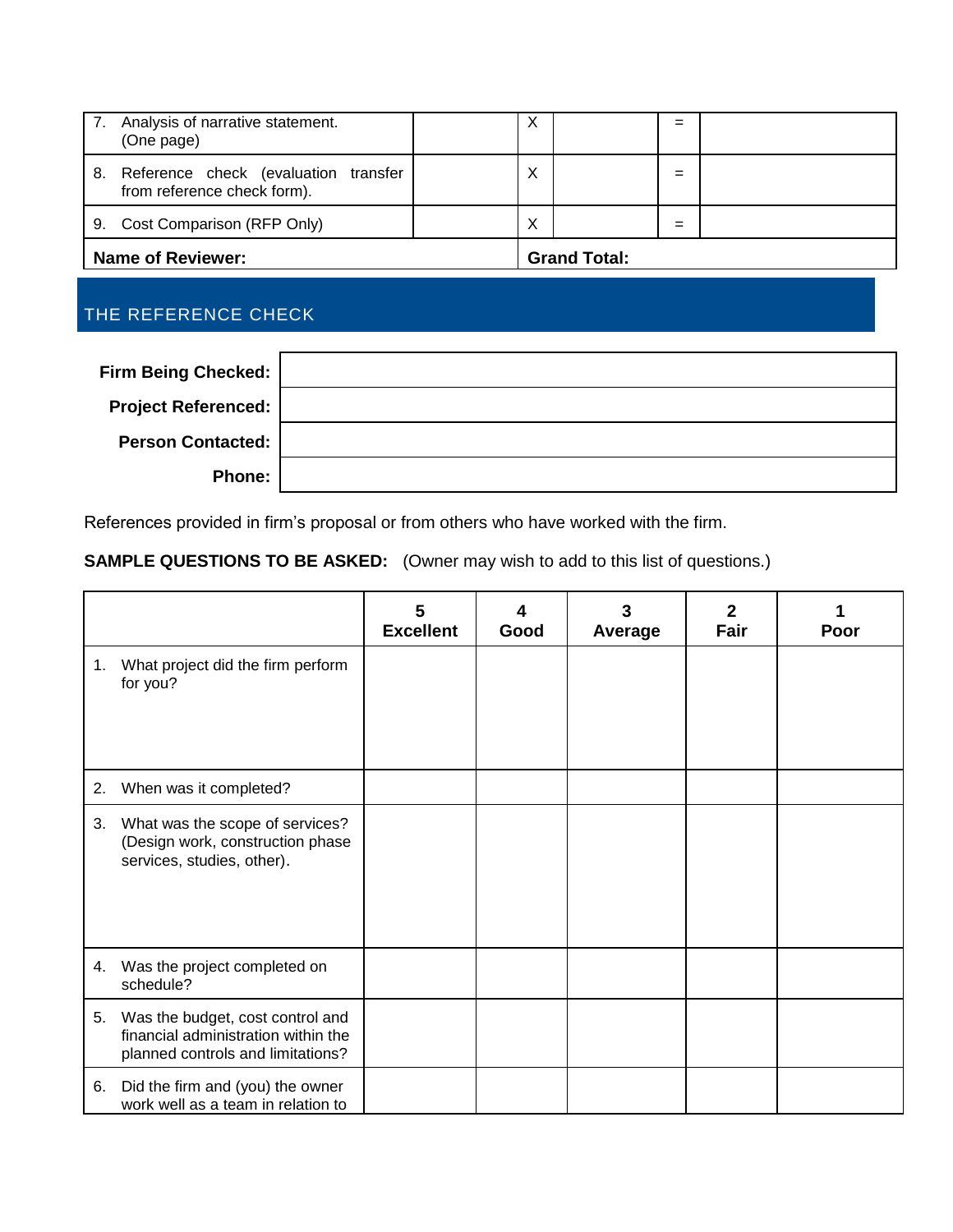| 7. | Analysis of narrative statement.<br>(One page)                         |  | ㅅ                   |  | =   |  |
|----|------------------------------------------------------------------------|--|---------------------|--|-----|--|
|    | 8. Reference check (evaluation transfer<br>from reference check form). |  | Χ                   |  | $=$ |  |
|    | 9. Cost Comparison (RFP Only)                                          |  | Χ                   |  | =   |  |
|    | <b>Name of Reviewer:</b>                                               |  | <b>Grand Total:</b> |  |     |  |

### THE REFERENCE CHECK

| <b>Firm Being Checked:</b> |  |
|----------------------------|--|
| <b>Project Referenced:</b> |  |
| <b>Person Contacted:</b>   |  |
| Phone:                     |  |

References provided in firm's proposal or from others who have worked with the firm.

### **SAMPLE QUESTIONS TO BE ASKED:** (Owner may wish to add to this list of questions.)

|    |                                                                                                              | 5<br><b>Excellent</b> | Good | Average | $\mathbf{2}$<br>Fair | Poor |
|----|--------------------------------------------------------------------------------------------------------------|-----------------------|------|---------|----------------------|------|
| 1. | What project did the firm perform<br>for you?                                                                |                       |      |         |                      |      |
| 2. | When was it completed?                                                                                       |                       |      |         |                      |      |
| 3. | What was the scope of services?<br>(Design work, construction phase<br>services, studies, other).            |                       |      |         |                      |      |
| 4. | Was the project completed on<br>schedule?                                                                    |                       |      |         |                      |      |
| 5. | Was the budget, cost control and<br>financial administration within the<br>planned controls and limitations? |                       |      |         |                      |      |
| 6. | Did the firm and (you) the owner<br>work well as a team in relation to                                       |                       |      |         |                      |      |